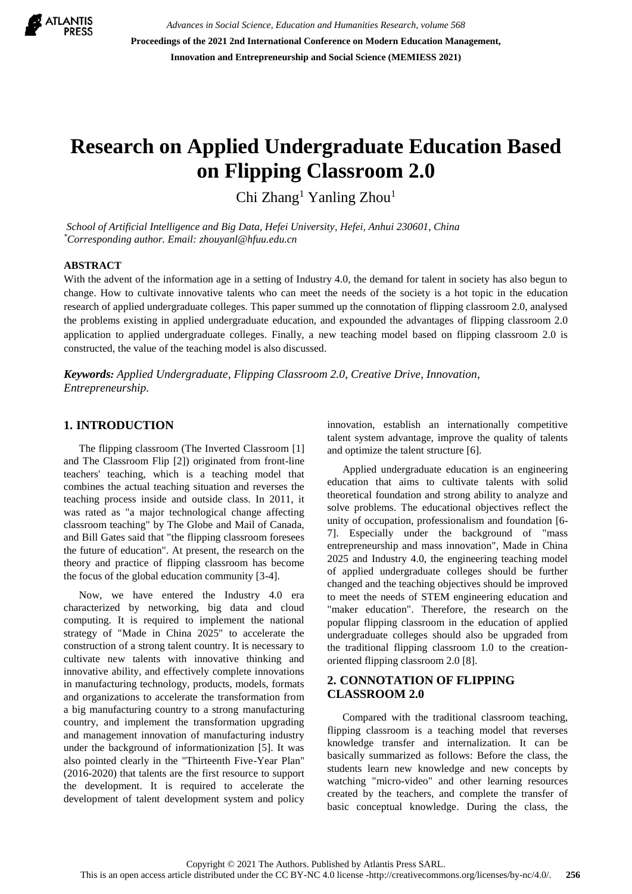

*Advances in Social Science, Education and Humanities Research, volume 568* **Proceedings of the 2021 2nd International Conference on Modern Education Management, Innovation and Entrepreneurship and Social Science (MEMIESS 2021)**

# **Research on Applied Undergraduate Education Based on Flipping Classroom 2.0**

Chi Zhang<sup>1</sup> Yanling Zhou<sup>1</sup>

*School of Artificial Intelligence and Big Data, Hefei University, Hefei, Anhui 230601, China \*Corresponding author. Email: zhouyanl@hfuu.edu.cn*

#### **ABSTRACT**

With the advent of the information age in a setting of Industry 4.0, the demand for talent in society has also begun to change. How to cultivate innovative talents who can meet the needs of the society is a hot topic in the education research of applied undergraduate colleges. This paper summed up the connotation of flipping classroom 2.0, analysed the problems existing in applied undergraduate education, and expounded the advantages of flipping classroom 2.0 application to applied undergraduate colleges. Finally, a new teaching model based on flipping classroom 2.0 is constructed, the value of the teaching model is also discussed.

*Keywords: Applied Undergraduate, Flipping Classroom 2.0, Creative Drive, Innovation, Entrepreneurship.*

#### **1. INTRODUCTION**

The flipping classroom (The Inverted Classroom [1] and The Classroom Flip [2]) originated from front-line teachers' teaching, which is a teaching model that combines the actual teaching situation and reverses the teaching process inside and outside class. In 2011, it was rated as "a major technological change affecting classroom teaching" by The Globe and Mail of Canada, and Bill Gates said that "the flipping classroom foresees the future of education". At present, the research on the theory and practice of flipping classroom has become the focus of the global education community [3-4].

Now, we have entered the Industry 4.0 era characterized by networking, big data and cloud computing. It is required to implement the national strategy of "Made in China 2025" to accelerate the construction of a strong talent country. It is necessary to cultivate new talents with innovative thinking and innovative ability, and effectively complete innovations in manufacturing technology, products, models, formats and organizations to accelerate the transformation from a big manufacturing country to a strong manufacturing country, and implement the transformation upgrading and management innovation of manufacturing industry under the background of informationization [5]. It was also pointed clearly in the "Thirteenth Five-Year Plan" (2016-2020) that talents are the first resource to support the development. It is required to accelerate the development of talent development system and policy innovation, establish an internationally competitive talent system advantage, improve the quality of talents and optimize the talent structure [6].

Applied undergraduate education is an engineering education that aims to cultivate talents with solid theoretical foundation and strong ability to analyze and solve problems. The educational objectives reflect the unity of occupation, professionalism and foundation [6- 7]. Especially under the background of "mass entrepreneurship and mass innovation", Made in China 2025 and Industry 4.0, the engineering teaching model of applied undergraduate colleges should be further changed and the teaching objectives should be improved to meet the needs of STEM engineering education and "maker education". Therefore, the research on the popular flipping classroom in the education of applied undergraduate colleges should also be upgraded from the traditional flipping classroom 1.0 to the creationoriented flipping classroom 2.0 [8].

## **2. CONNOTATION OF FLIPPING CLASSROOM 2.0**

Compared with the traditional classroom teaching, flipping classroom is a teaching model that reverses knowledge transfer and internalization. It can be basically summarized as follows: Before the class, the students learn new knowledge and new concepts by watching "micro-video" and other learning resources created by the teachers, and complete the transfer of basic conceptual knowledge. During the class, the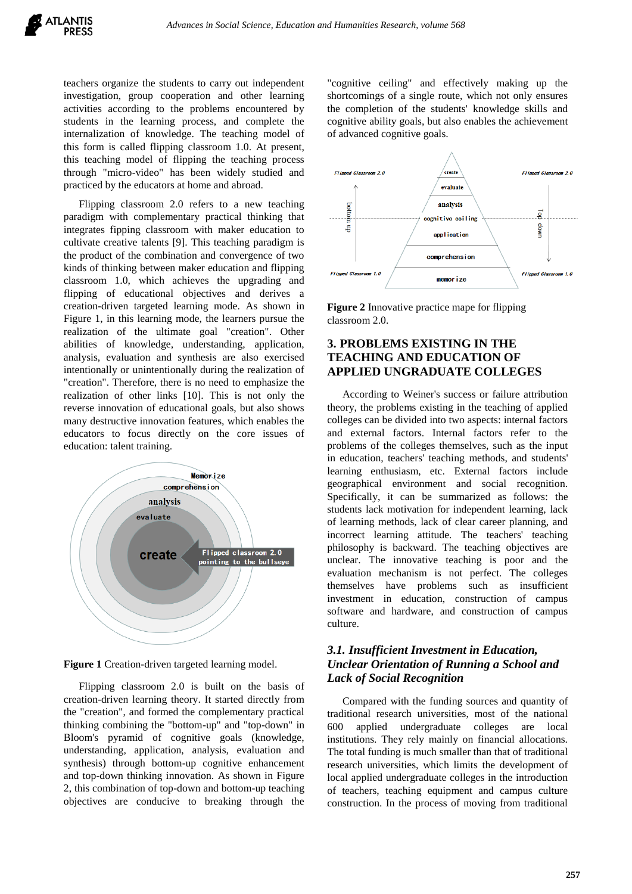teachers organize the students to carry out independent investigation, group cooperation and other learning activities according to the problems encountered by students in the learning process, and complete the internalization of knowledge. The teaching model of this form is called flipping classroom 1.0. At present, this teaching model of flipping the teaching process through "micro-video" has been widely studied and practiced by the educators at home and abroad.

Flipping classroom 2.0 refers to a new teaching paradigm with complementary practical thinking that integrates fipping classroom with maker education to cultivate creative talents [9]. This teaching paradigm is the product of the combination and convergence of two kinds of thinking between maker education and flipping classroom 1.0, which achieves the upgrading and flipping of educational objectives and derives a creation-driven targeted learning mode. As shown in Figure 1, in this learning mode, the learners pursue the realization of the ultimate goal "creation". Other abilities of knowledge, understanding, application, analysis, evaluation and synthesis are also exercised intentionally or unintentionally during the realization of "creation". Therefore, there is no need to emphasize the realization of other links [10]. This is not only the reverse innovation of educational goals, but also shows many destructive innovation features, which enables the educators to focus directly on the core issues of education: talent training.



**Figure 1** Creation-driven targeted learning model.

Flipping classroom 2.0 is built on the basis of creation-driven learning theory. It started directly from the "creation", and formed the complementary practical thinking combining the "bottom-up" and "top-down" in Bloom's pyramid of cognitive goals (knowledge, understanding, application, analysis, evaluation and synthesis) through bottom-up cognitive enhancement and top-down thinking innovation. As shown in Figure 2, this combination of top-down and bottom-up teaching objectives are conducive to breaking through the "cognitive ceiling" and effectively making up the shortcomings of a single route, which not only ensures the completion of the students' knowledge skills and cognitive ability goals, but also enables the achievement of advanced cognitive goals.



**Figure 2** Innovative practice mape for flipping classroom 2.0.

# **3. PROBLEMS EXISTING IN THE TEACHING AND EDUCATION OF APPLIED UNGRADUATE COLLEGES**

According to Weiner's success or failure attribution theory, the problems existing in the teaching of applied colleges can be divided into two aspects: internal factors and external factors. Internal factors refer to the problems of the colleges themselves, such as the input in education, teachers' teaching methods, and students' learning enthusiasm, etc. External factors include geographical environment and social recognition. Specifically, it can be summarized as follows: the students lack motivation for independent learning, lack of learning methods, lack of clear career planning, and incorrect learning attitude. The teachers' teaching philosophy is backward. The teaching objectives are unclear. The innovative teaching is poor and the evaluation mechanism is not perfect. The colleges themselves have problems such as insufficient investment in education, construction of campus software and hardware, and construction of campus culture.

## *3.1. Insufficient Investment in Education, Unclear Orientation of Running a School and Lack of Social Recognition*

Compared with the funding sources and quantity of traditional research universities, most of the national 600 applied undergraduate colleges are local institutions. They rely mainly on financial allocations. The total funding is much smaller than that of traditional research universities, which limits the development of local applied undergraduate colleges in the introduction of teachers, teaching equipment and campus culture construction. In the process of moving from traditional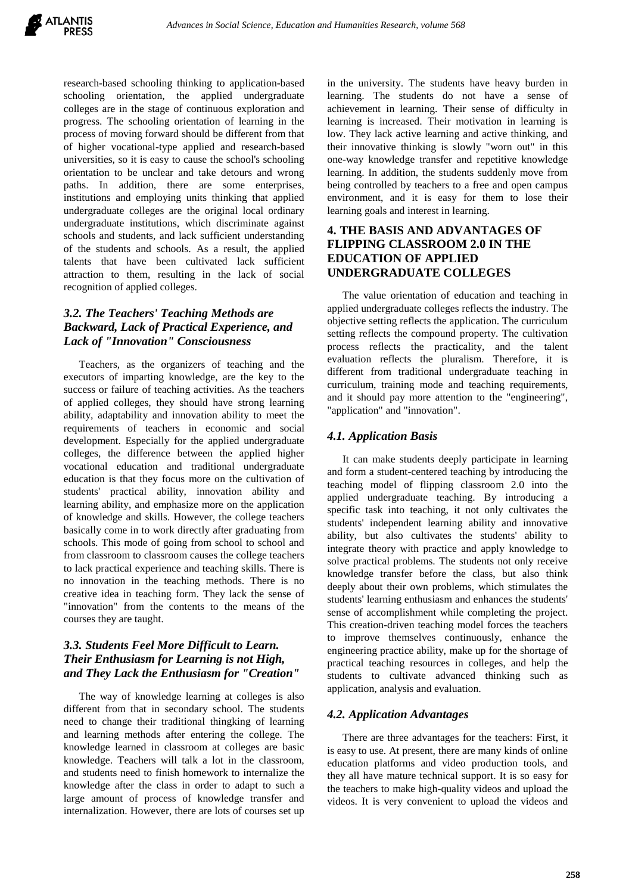research-based schooling thinking to application-based schooling orientation, the applied undergraduate colleges are in the stage of continuous exploration and progress. The schooling orientation of learning in the process of moving forward should be different from that of higher vocational-type applied and research-based universities, so it is easy to cause the school's schooling orientation to be unclear and take detours and wrong paths. In addition, there are some enterprises, institutions and employing units thinking that applied undergraduate colleges are the original local ordinary undergraduate institutions, which discriminate against schools and students, and lack sufficient understanding of the students and schools. As a result, the applied talents that have been cultivated lack sufficient attraction to them, resulting in the lack of social recognition of applied colleges.

# *3.2. The Teachers' Teaching Methods are Backward, Lack of Practical Experience, and Lack of "Innovation" Consciousness*

Teachers, as the organizers of teaching and the executors of imparting knowledge, are the key to the success or failure of teaching activities. As the teachers of applied colleges, they should have strong learning ability, adaptability and innovation ability to meet the requirements of teachers in economic and social development. Especially for the applied undergraduate colleges, the difference between the applied higher vocational education and traditional undergraduate education is that they focus more on the cultivation of students' practical ability, innovation ability and learning ability, and emphasize more on the application of knowledge and skills. However, the college teachers basically come in to work directly after graduating from schools. This mode of going from school to school and from classroom to classroom causes the college teachers to lack practical experience and teaching skills. There is no innovation in the teaching methods. There is no creative idea in teaching form. They lack the sense of "innovation" from the contents to the means of the courses they are taught.

## *3.3. Students Feel More Difficult to Learn. Their Enthusiasm for Learning is not High, and They Lack the Enthusiasm for "Creation"*

The way of knowledge learning at colleges is also different from that in secondary school. The students need to change their traditional thingking of learning and learning methods after entering the college. The knowledge learned in classroom at colleges are basic knowledge. Teachers will talk a lot in the classroom, and students need to finish homework to internalize the knowledge after the class in order to adapt to such a large amount of process of knowledge transfer and internalization. However, there are lots of courses set up in the university. The students have heavy burden in learning. The students do not have a sense of achievement in learning. Their sense of difficulty in learning is increased. Their motivation in learning is low. They lack active learning and active thinking, and their innovative thinking is slowly "worn out" in this one-way knowledge transfer and repetitive knowledge learning. In addition, the students suddenly move from being controlled by teachers to a free and open campus environment, and it is easy for them to lose their learning goals and interest in learning.

## **4. THE BASIS AND ADVANTAGES OF FLIPPING CLASSROOM 2.0 IN THE EDUCATION OF APPLIED UNDERGRADUATE COLLEGES**

The value orientation of education and teaching in applied undergraduate colleges reflects the industry. The objective setting reflects the application. The curriculum setting reflects the compound property. The cultivation process reflects the practicality, and the talent evaluation reflects the pluralism. Therefore, it is different from traditional undergraduate teaching in curriculum, training mode and teaching requirements, and it should pay more attention to the "engineering", "application" and "innovation".

## *4.1. Application Basis*

It can make students deeply participate in learning and form a student-centered teaching by introducing the teaching model of flipping classroom 2.0 into the applied undergraduate teaching. By introducing a specific task into teaching, it not only cultivates the students' independent learning ability and innovative ability, but also cultivates the students' ability to integrate theory with practice and apply knowledge to solve practical problems. The students not only receive knowledge transfer before the class, but also think deeply about their own problems, which stimulates the students' learning enthusiasm and enhances the students' sense of accomplishment while completing the project. This creation-driven teaching model forces the teachers to improve themselves continuously, enhance the engineering practice ability, make up for the shortage of practical teaching resources in colleges, and help the students to cultivate advanced thinking such as application, analysis and evaluation.

## *4.2. Application Advantages*

There are three advantages for the teachers: First, it is easy to use. At present, there are many kinds of online education platforms and video production tools, and they all have mature technical support. It is so easy for the teachers to make high-quality videos and upload the videos. It is very convenient to upload the videos and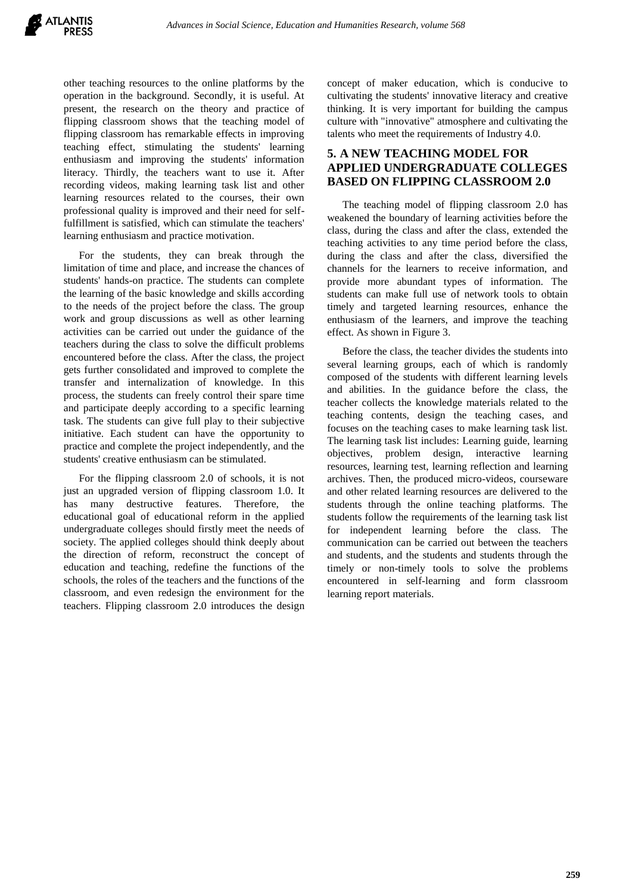other teaching resources to the online platforms by the operation in the background. Secondly, it is useful. At present, the research on the theory and practice of flipping classroom shows that the teaching model of flipping classroom has remarkable effects in improving teaching effect, stimulating the students' learning enthusiasm and improving the students' information literacy. Thirdly, the teachers want to use it. After recording videos, making learning task list and other learning resources related to the courses, their own professional quality is improved and their need for selffulfillment is satisfied, which can stimulate the teachers' learning enthusiasm and practice motivation.

For the students, they can break through the limitation of time and place, and increase the chances of students' hands-on practice. The students can complete the learning of the basic knowledge and skills according to the needs of the project before the class. The group work and group discussions as well as other learning activities can be carried out under the guidance of the teachers during the class to solve the difficult problems encountered before the class. After the class, the project gets further consolidated and improved to complete the transfer and internalization of knowledge. In this process, the students can freely control their spare time and participate deeply according to a specific learning task. The students can give full play to their subjective initiative. Each student can have the opportunity to practice and complete the project independently, and the students' creative enthusiasm can be stimulated.

For the flipping classroom 2.0 of schools, it is not just an upgraded version of flipping classroom 1.0. It has many destructive features. Therefore, the educational goal of educational reform in the applied undergraduate colleges should firstly meet the needs of society. The applied colleges should think deeply about the direction of reform, reconstruct the concept of education and teaching, redefine the functions of the schools, the roles of the teachers and the functions of the classroom, and even redesign the environment for the teachers. Flipping classroom 2.0 introduces the design concept of maker education, which is conducive to cultivating the students' innovative literacy and creative thinking. It is very important for building the campus culture with "innovative" atmosphere and cultivating the talents who meet the requirements of Industry 4.0.

## **5. A NEW TEACHING MODEL FOR APPLIED UNDERGRADUATE COLLEGES BASED ON FLIPPING CLASSROOM 2.0**

The teaching model of flipping classroom 2.0 has weakened the boundary of learning activities before the class, during the class and after the class, extended the teaching activities to any time period before the class, during the class and after the class, diversified the channels for the learners to receive information, and provide more abundant types of information. The students can make full use of network tools to obtain timely and targeted learning resources, enhance the enthusiasm of the learners, and improve the teaching effect. As shown in Figure 3.

Before the class, the teacher divides the students into several learning groups, each of which is randomly composed of the students with different learning levels and abilities. In the guidance before the class, the teacher collects the knowledge materials related to the teaching contents, design the teaching cases, and focuses on the teaching cases to make learning task list. The learning task list includes: Learning guide, learning objectives, problem design, interactive learning resources, learning test, learning reflection and learning archives. Then, the produced micro-videos, courseware and other related learning resources are delivered to the students through the online teaching platforms. The students follow the requirements of the learning task list for independent learning before the class. The communication can be carried out between the teachers and students, and the students and students through the timely or non-timely tools to solve the problems encountered in self-learning and form classroom learning report materials.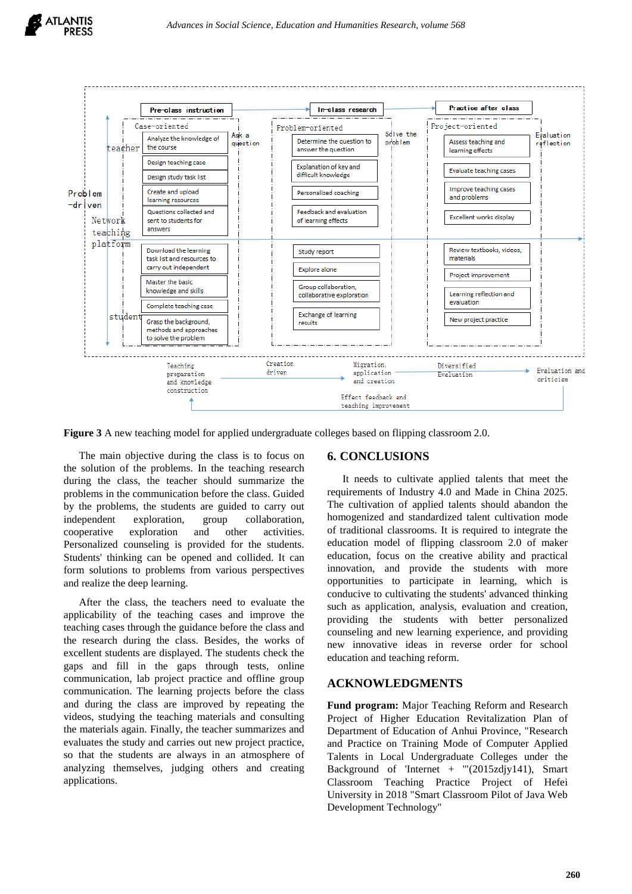



**Figure 3** A new teaching model for applied undergraduate colleges based on flipping classroom 2.0.

The main objective during the class is to focus on the solution of the problems. In the teaching research during the class, the teacher should summarize the problems in the communication before the class. Guided by the problems, the students are guided to carry out independent exploration, group collaboration, cooperative exploration and other activities. Personalized counseling is provided for the students. Students' thinking can be opened and collided. It can form solutions to problems from various perspectives and realize the deep learning.

After the class, the teachers need to evaluate the applicability of the teaching cases and improve the teaching cases through the guidance before the class and the research during the class. Besides, the works of excellent students are displayed. The students check the gaps and fill in the gaps through tests, online communication, lab project practice and offline group communication. The learning projects before the class and during the class are improved by repeating the videos, studying the teaching materials and consulting the materials again. Finally, the teacher summarizes and evaluates the study and carries out new project practice, so that the students are always in an atmosphere of analyzing themselves, judging others and creating applications.

## **6. CONCLUSIONS**

It needs to cultivate applied talents that meet the requirements of Industry 4.0 and Made in China 2025. The cultivation of applied talents should abandon the homogenized and standardized talent cultivation mode of traditional classrooms. It is required to integrate the education model of flipping classroom 2.0 of maker education, focus on the creative ability and practical innovation, and provide the students with more opportunities to participate in learning, which is conducive to cultivating the students' advanced thinking such as application, analysis, evaluation and creation, providing the students with better personalized counseling and new learning experience, and providing new innovative ideas in reverse order for school education and teaching reform.

## **ACKNOWLEDGMENTS**

**Fund program:** Major Teaching Reform and Research Project of Higher Education Revitalization Plan of Department of Education of Anhui Province, "Research and Practice on Training Mode of Computer Applied Talents in Local Undergraduate Colleges under the Background of 'Internet + '"(2015zdjy141), Smart Classroom Teaching Practice Project of Hefei University in 2018 "Smart Classroom Pilot of Java Web Development Technology"